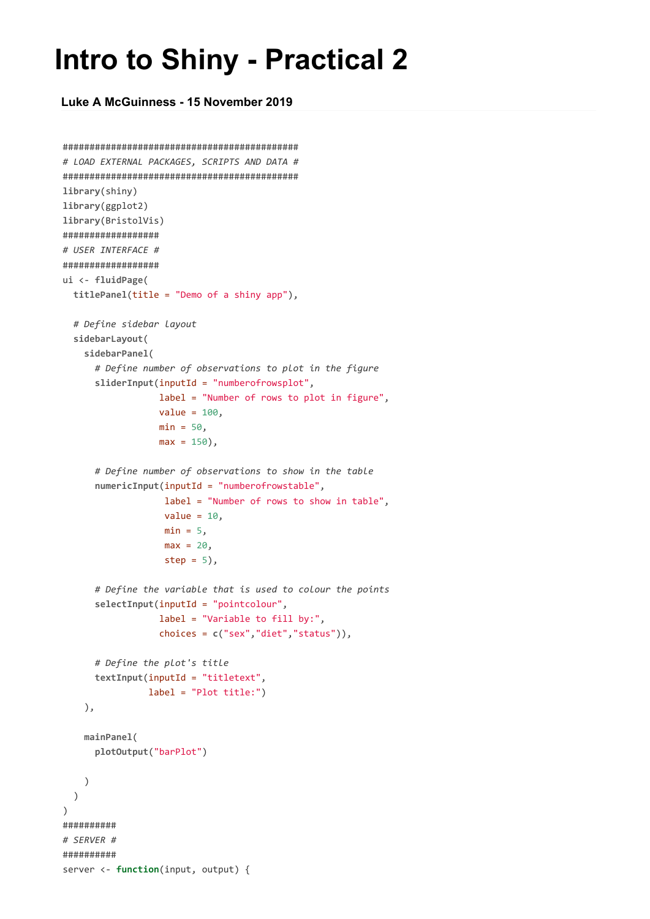## **Intro to Shiny - Practical 2**

**Luke A McGuinness - 15 November 2019**

```
############################################
# LOAD EXTERNAL PACKAGES, SCRIPTS AND DATA #
############################################
library(shiny)
library(ggplot2)
library(BristolVis)
##################
# USER INTERFACE #
##################
ui <- fluidPage(
 titlePanel(title = "Demo of a shiny app"),
  # Define sidebar layout
  sidebarLayout(
   sidebarPanel(
      # Define number of observations to plot in the figure
      sliderInput(inputId = "numberofrowsplot",
                  label = "Number of rows to plot in figure",
                  value = 100,
                  min = 50,
                  max = 150,
      # Define number of observations to show in the table
      numericInput(inputId = "numberofrowstable",
                   label = "Number of rows to show in table",
                   value = 10,
                   min = 5,
                   max = 20step = 5,
      # Define the variable that is used to colour the points
      selectInput(inputId = "pointcolour",
                  label = "Variable to fill by:",
                  choices = c("sex","diet","status")),
      # Define the plot's title
      textInput(inputId = "titletext",
                label = "Plot title:")
    ),
    mainPanel(
      plotOutput("barPlot")
    )
  \lambda)
##########
# SERVER #
##########
server <- function(input, output) {
```